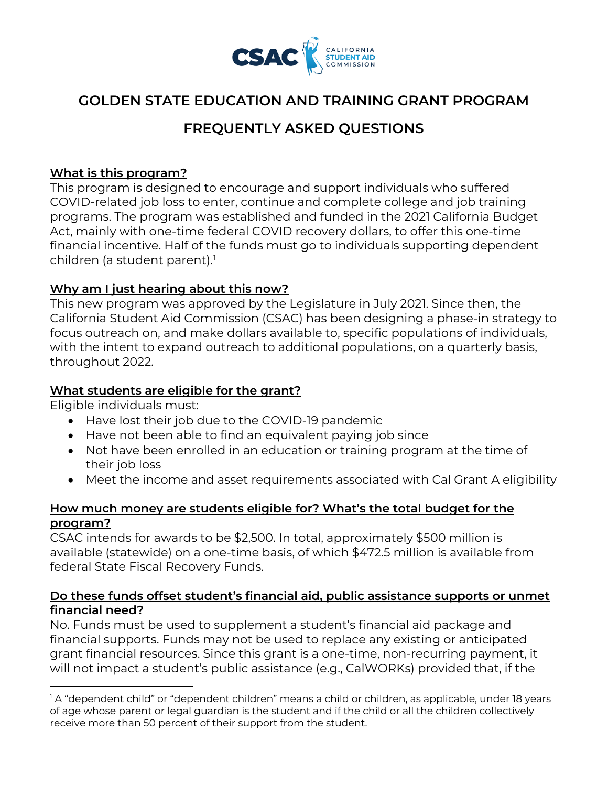

## **GOLDEN STATE EDUCATION AND TRAINING GRANT PROGRAM**

# **FREQUENTLY ASKED QUESTIONS**

## **What is this program?**

 This program is designed to encourage and support individuals who suffered Act, mainly with one-time federal COVID recovery dollars, to offer this one-time COVID-related job loss to enter, continue and complete college and job training programs. The program was established and funded in the 2021 California Budget financial incentive. Half of the funds must go to individuals supporting dependent children (a student parent). [1](#page-0-0) 

#### **Why am I just hearing about this now?**

This new program was approved by the Legislature in July 2021. Since then, the California Student Aid Commission (CSAC) has been designing a phase-in strategy to focus outreach on, and make dollars available to, specific populations of individuals, with the intent to expand outreach to additional populations, on a quarterly basis, throughout 2022.

#### **What students are eligible for the grant?**

Eligible individuals must:

- Have lost their job due to the COVID-19 pandemic
- Have not been able to find an equivalent paying job since
- Not have been enrolled in an education or training program at the time of their job loss
- Meet the income and asset requirements associated with Cal Grant A eligibility

## **How much money are students eligible for? What's the total budget for the program?**

CSAC intends for awards to be \$2,500. In total, approximately \$500 million is available (statewide) on a one-time basis, of which \$472.5 million is available from federal State Fiscal Recovery Funds.

## **Do these funds offset student's financial aid, public assistance supports or unmet financial need?**

No. Funds must be used to supplement a student's financial aid package and financial supports. Funds may not be used to replace any existing or anticipated grant financial resources. Since this grant is a one-time, non-recurring payment, it will not impact a student's public assistance (e.g., CalWORKs) provided that, if the

<span id="page-0-0"></span> $^{\rm l}$  A "dependent child" or "dependent children" means a child or children, as applicable, under 18 years  $\,$  of age whose parent or legal guardian is the student and if the child or all the children collectively receive more than 50 percent of their support from the student.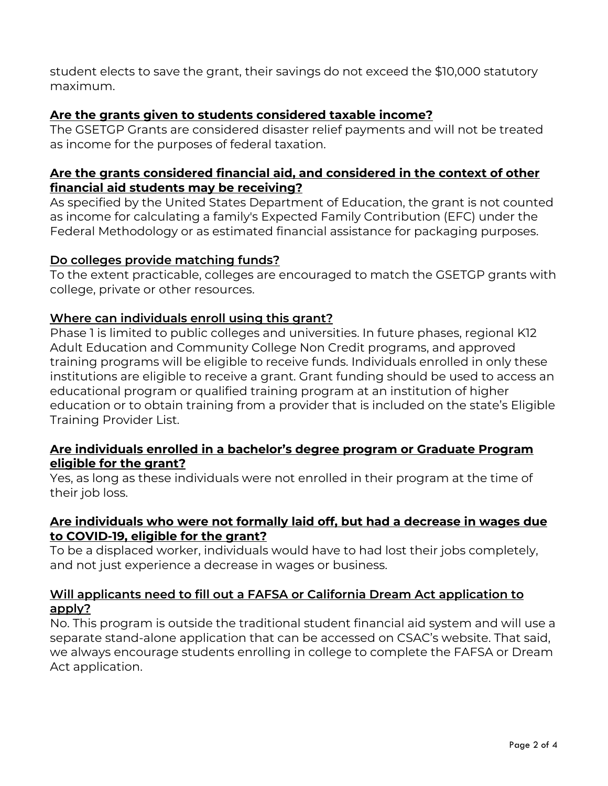student elects to save the grant, their savings do not exceed the \$10,000 statutory maximum.

## **Are the grants given to students considered taxable income?**

The GSETGP Grants are considered disaster relief payments and will not be treated as income for the purposes of federal taxation.

## **Are the grants considered financial aid, and considered in the context of other financial aid students may be receiving?**

As specified by the United States Department of Education, the grant is not counted as income for calculating a family's Expected Family Contribution (EFC) under the Federal Methodology or as estimated financial assistance for packaging purposes.

## **Do colleges provide matching funds?**

To the extent practicable, colleges are encouraged to match the GSETGP grants with college, private or other resources.

## **Where can individuals enroll using this grant?**

Phase 1 is limited to public colleges and universities. In future phases, regional K12 Adult Education and Community College Non Credit programs, and approved training programs will be eligible to receive funds. Individuals enrolled in only these institutions are eligible to receive a grant. Grant funding should be used to access an educational program or qualified training program at an institution of higher education or to obtain training from a provider that is included on the state's Eligible Training Provider List.

#### **Are individuals enrolled in a bachelor's degree program or Graduate Program eligible for the grant?**

 Yes, as long as these individuals were not enrolled in their program at the time of their job loss.

#### **Are individuals who were not formally laid off, but had a decrease in wages due to COVID-19, eligible for the grant?**

 To be a displaced worker, individuals would have to had lost their jobs completely, and not just experience a decrease in wages or business.

## **Will applicants need to fill out a FAFSA or California Dream Act application to apply?**

 Act application. No. This program is outside the traditional student financial aid system and will use a separate stand-alone application that can be accessed on CSAC's website. That said, we always encourage students enrolling in college to complete the FAFSA or Dream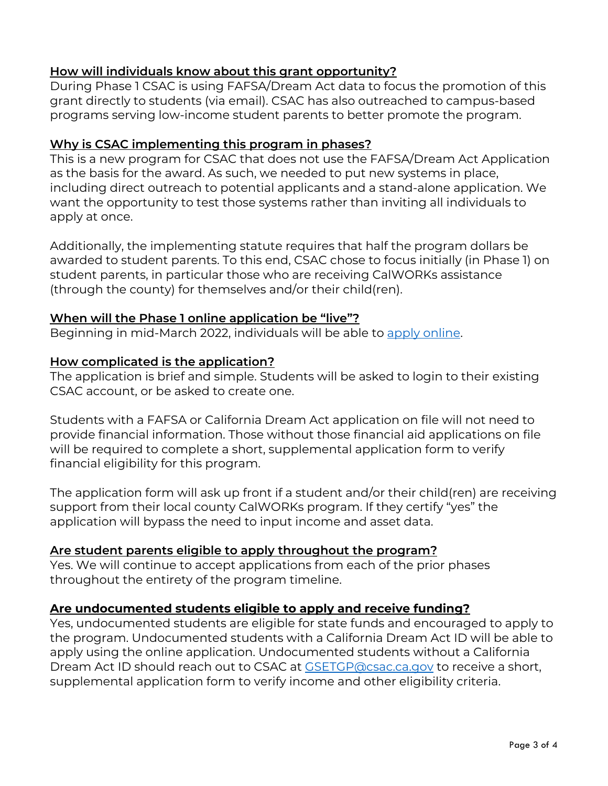## **How will individuals know about this grant opportunity?**

 During Phase 1 CSAC is using FAFSA/Dream Act data to focus the promotion of this grant directly to students (via email). CSAC has also outreached to campus-based programs serving low-income student parents to better promote the program.

### **Why is CSAC implementing this program in phases?**

This is a new program for CSAC that does not use the FAFSA/Dream Act Application as the basis for the award. As such, we needed to put new systems in place, including direct outreach to potential applicants and a stand-alone application. We want the opportunity to test those systems rather than inviting all individuals to apply at once.

 student parents, in particular those who are receiving CalWORKs assistance Additionally, the implementing statute requires that half the program dollars be awarded to student parents. To this end, CSAC chose to focus initially (in Phase 1) on (through the county) for themselves and/or their child(ren).

#### **When will the Phase 1 online application be "live"?**

Beginning in mid-March 2022, individuals will be able to <u>apply online</u>.

#### **How complicated is the application?**

The application is brief and simple. Students will be asked to login to their existing CSAC account, or be asked to create one.

 will be required to complete a short, supplemental application form to verify Students with a FAFSA or California Dream Act application on file will not need to provide financial information. Those without those financial aid applications on file financial eligibility for this program.

The application form will ask up front if a student and/or their child(ren) are receiving support from their local county CalWORKs program. If they certify "yes" the application will bypass the need to input income and asset data.

#### **Are student parents eligible to apply throughout the program?**

Yes. We will continue to accept applications from each of the prior phases throughout the entirety of the program timeline.

#### **Are undocumented students eligible to apply and receive funding?**

Yes, undocumented students are eligible for state funds and encouraged to apply to the program. Undocumented students with a California Dream Act ID will be able to apply using the online application. Undocumented students without a California Dream Act ID should reach out to CSAC at [GSETGP@csac.ca.gov](mailto:GSETGP@csac.ca.gov) to receive a short, supplemental application form to verify income and other eligibility criteria.